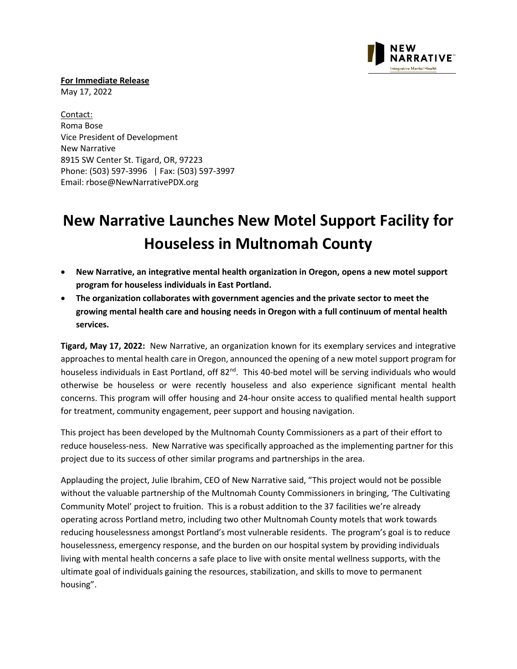

**For Immediate Release** 

May 17, 2022

Contact: Roma Bose Vice President of Development New Narrative 8915 SW Center St. Tigard, OR, 97223 Phone: (503) 597-3996 | Fax: (503) 597-3997 Email: [rbose@NewNarrativePDX.org](mailto:rbose@NewNarrativePDX.org)

## **New Narrative Launches New Motel Support Facility for Houseless in Multnomah County**

- **New Narrative, an integrative mental health organization in Oregon, opens a new motel support program for houseless individuals in East Portland.**
- **The organization collaborates with government agencies and the private sector to meet the growing mental health care and housing needs in Oregon with a full continuum of mental health services.**

**Tigard, May 17, 2022:** New Narrative, an organization known for its exemplary services and integrative approaches to mental health care in Oregon, announced the opening of a new motel support program for houseless individuals in East Portland, off 82<sup>nd</sup>. This 40-bed motel will be serving individuals who would otherwise be houseless or were recently houseless and also experience significant mental health concerns. This program will offer housing and 24-hour onsite access to qualified mental health support for treatment, community engagement, peer support and housing navigation.

This project has been developed by the Multnomah County Commissioners as a part of their effort to reduce houseless-ness. New Narrative was specifically approached as the implementing partner for this project due to its success of other similar programs and partnerships in the area.

Applauding the project, Julie Ibrahim, CEO of New Narrative said, "This project would not be possible without the valuable partnership of the Multnomah County Commissioners in bringing, 'The Cultivating Community Motel' project to fruition. This is a robust addition to the 37 facilities we're already operating across Portland metro, including two other Multnomah County motels that work towards reducing houselessness amongst Portland's most vulnerable residents. The program's goal is to reduce houselessness, emergency response, and the burden on our hospital system by providing individuals living with mental health concerns a safe place to live with onsite mental wellness supports, with the ultimate goal of individuals gaining the resources, stabilization, and skills to move to permanent housing".